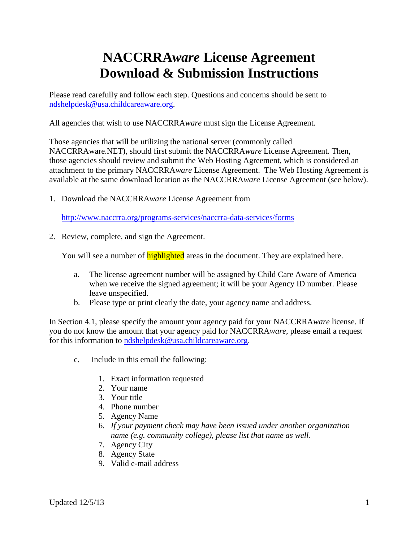## **NACCRRA***ware* **License Agreement Download & Submission Instructions**

Please read carefully and follow each step. Questions and concerns should be sent to [ndshelpdesk@usa.childcareaware.org.](mailto:ndshelpdesk@usa.childcareaware.org)

All agencies that wish to use NACCRRA*ware* must sign the License Agreement.

Those agencies that will be utilizing the national server (commonly called NACCRRAware.NET), should first submit the NACCRRA*ware* License Agreement. Then, those agencies should review and submit the Web Hosting Agreement, which is considered an attachment to the primary NACCRRA*ware* License Agreement. The Web Hosting Agreement is available at the same download location as the NACCRRA*ware* License Agreement (see below).

1. Download the NACCRRA*ware* License Agreement from

<http://www.naccrra.org/programs-services/naccrra-data-services/forms>

2. Review, complete, and sign the Agreement.

You will see a number of **highlighted** areas in the document. They are explained here.

- a. The license agreement number will be assigned by Child Care Aware of America when we receive the signed agreement; it will be your Agency ID number. Please leave unspecified.
- b. Please type or print clearly the date, your agency name and address.

In Section 4.1, please specify the amount your agency paid for your NACCRRA*ware* license. If you do not know the amount that your agency paid for NACCRRA*ware*, please email a request for this information to [ndshelpdesk@usa.childcareaware.org.](mailto:ndshelpdesk@usa.childcareaware.org)

- c. Include in this email the following:
	- 1. Exact information requested
	- 2. Your name
	- 3. Your title
	- 4. Phone number
	- 5. Agency Name
	- 6. *If your payment check may have been issued under another organization name (e.g. community college), please list that name as well*.
	- 7. Agency City
	- 8. Agency State
	- 9. Valid e-mail address